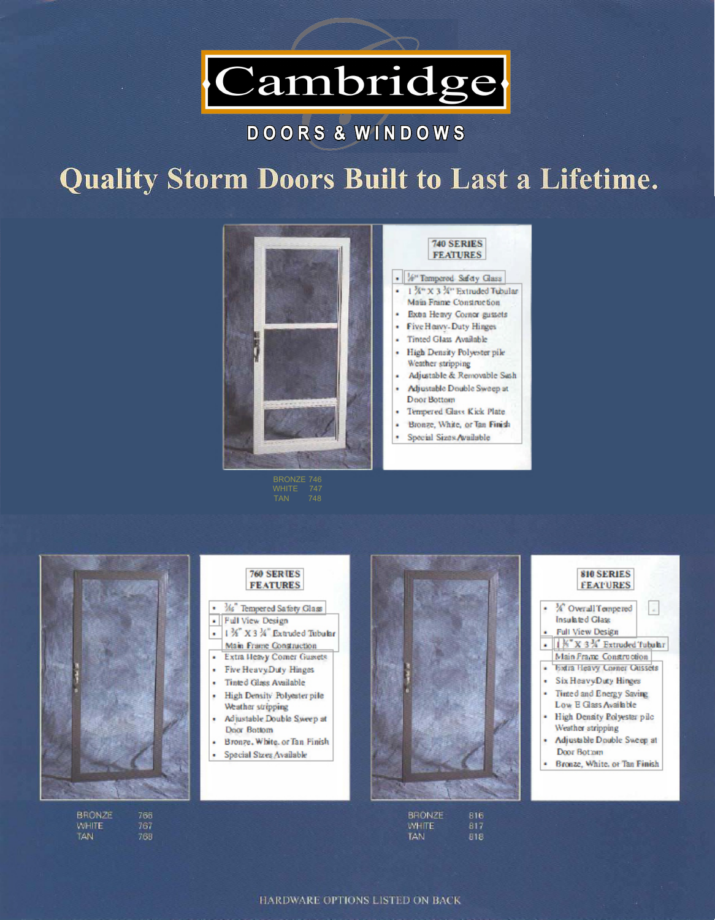

## DOORS & WINDOWS

# **Quality Storm Doors Built to Last a Lifetime.**



- $\mathcal{M}_6$ " Tempered Safety Glass
- Full View Design
- l *¾"* X 3 *¾"* Extruded Tubular

- Extra Heavy Corner Gussets
- Five Heavy-Duty Hinges
- Tinted Glass Available
- High Density Polyester pile Weather stripping
- Adjustable Double Sweep at Door Bottom
- Bronze, White, or Tan Finish
- Special Sizes Available



**BHONZE** 816 WHITE: 817 TAN. 818

### 760 **SERIES FEATURES**

Main Frame Construction



HARDWARE OPTIONS LISTED ON BACK

BRONZE 746 WHITE 747 TAN 748



| BRONZE     | 766 |
|------------|-----|
| WHITE      | 767 |
| <b>TAN</b> | 765 |